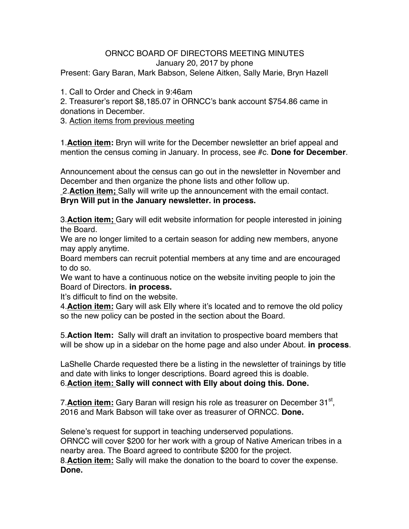## ORNCC BOARD OF DIRECTORS MEETING MINUTES January 20, 2017 by phone

Present: Gary Baran, Mark Babson, Selene Aitken, Sally Marie, Bryn Hazell

1. Call to Order and Check in 9:46am

2. Treasurer's report \$8,185.07 in ORNCC's bank account \$754.86 came in donations in December.

3. Action items from previous meeting

1.**Action item:** Bryn will write for the December newsletter an brief appeal and mention the census coming in January. In process, see #c. **Done for December**.

Announcement about the census can go out in the newsletter in November and December and then organize the phone lists and other follow up.

2.**Action item;** Sally will write up the announcement with the email contact. **Bryn Will put in the January newsletter. in process.**

3.**Action item;** Gary will edit website information for people interested in joining the Board.

We are no longer limited to a certain season for adding new members, anyone may apply anytime.

Board members can recruit potential members at any time and are encouraged to do so.

We want to have a continuous notice on the website inviting people to join the Board of Directors. **in process.**

It's difficult to find on the website.

4.**Action item:** Gary will ask Elly where it's located and to remove the old policy so the new policy can be posted in the section about the Board.

5.**Action Item:** Sally will draft an invitation to prospective board members that will be show up in a sidebar on the home page and also under About. **in process**.

LaShelle Charde requested there be a listing in the newsletter of trainings by title and date with links to longer descriptions. Board agreed this is doable. 6.**Action item: Sally will connect with Elly about doing this. Done.**

7.**Action item:** Gary Baran will resign his role as treasurer on December 31<sup>st</sup>, 2016 and Mark Babson will take over as treasurer of ORNCC. **Done.**

Selene's request for support in teaching underserved populations. ORNCC will cover \$200 for her work with a group of Native American tribes in a nearby area. The Board agreed to contribute \$200 for the project. 8.**Action item:** Sally will make the donation to the board to cover the expense. **Done.**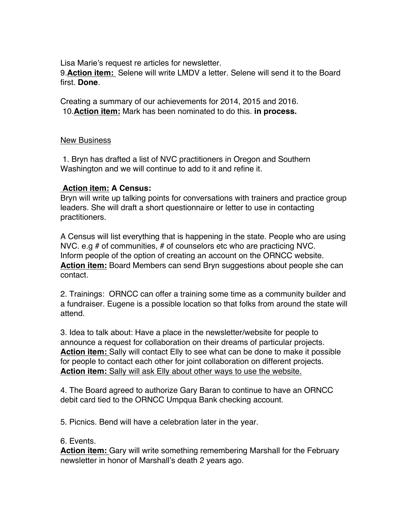Lisa Marie's request re articles for newsletter.

9.**Action item:** Selene will write LMDV a letter. Selene will send it to the Board first. **Done**.

Creating a summary of our achievements for 2014, 2015 and 2016. 10.**Action item:** Mark has been nominated to do this. **in process.**

## New Business

1. Bryn has drafted a list of NVC practitioners in Oregon and Southern Washington and we will continue to add to it and refine it.

## **Action item: A Census:**

Bryn will write up talking points for conversations with trainers and practice group leaders. She will draft a short questionnaire or letter to use in contacting practitioners.

A Census will list everything that is happening in the state. People who are using NVC. e.g # of communities, # of counselors etc who are practicing NVC. Inform people of the option of creating an account on the ORNCC website. **Action item:** Board Members can send Bryn suggestions about people she can contact.

2. Trainings: ORNCC can offer a training some time as a community builder and a fundraiser. Eugene is a possible location so that folks from around the state will attend.

3. Idea to talk about: Have a place in the newsletter/website for people to announce a request for collaboration on their dreams of particular projects. **Action item:** Sally will contact Elly to see what can be done to make it possible for people to contact each other for joint collaboration on different projects. **Action item:** Sally will ask Elly about other ways to use the website.

4. The Board agreed to authorize Gary Baran to continue to have an ORNCC debit card tied to the ORNCC Umpqua Bank checking account.

5. Picnics. Bend will have a celebration later in the year.

6. Events.

**Action item:** Gary will write something remembering Marshall for the February newsletter in honor of Marshall's death 2 years ago.